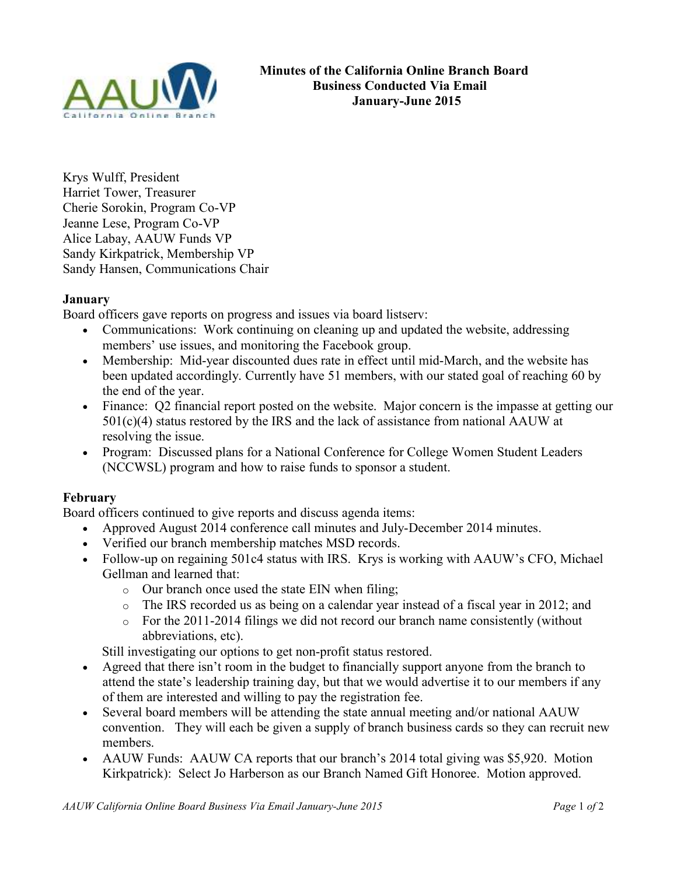

Krys Wulff, President Harriet Tower, Treasurer Cherie Sorokin, Program Co-VP Jeanne Lese, Program Co-VP Alice Labay, AAUW Funds VP Sandy Kirkpatrick, Membership VP Sandy Hansen, Communications Chair

## **January**

Board officers gave reports on progress and issues via board listserv:

- Communications: Work continuing on cleaning up and updated the website, addressing members' use issues, and monitoring the Facebook group.
- Membership: Mid-year discounted dues rate in effect until mid-March, and the website has been updated accordingly. Currently have 51 members, with our stated goal of reaching 60 by the end of the year.
- Finance: Q2 financial report posted on the website. Major concern is the impasse at getting our 501(c)(4) status restored by the IRS and the lack of assistance from national AAUW at resolving the issue.
- Program: Discussed plans for a National Conference for College Women Student Leaders (NCCWSL) program and how to raise funds to sponsor a student.

# **February**

Board officers continued to give reports and discuss agenda items:

- Approved August 2014 conference call minutes and July-December 2014 minutes.
- Verified our branch membership matches MSD records.
- Follow-up on regaining 501c4 status with IRS. Krys is working with AAUW's CFO, Michael Gellman and learned that:
	- o Our branch once used the state EIN when filing;
	- o The IRS recorded us as being on a calendar year instead of a fiscal year in 2012; and
	- o For the 2011-2014 filings we did not record our branch name consistently (without abbreviations, etc).

Still investigating our options to get non-profit status restored.

- Agreed that there isn't room in the budget to financially support anyone from the branch to attend the state's leadership training day, but that we would advertise it to our members if any of them are interested and willing to pay the registration fee.
- Several board members will be attending the state annual meeting and/or national AAUW convention. They will each be given a supply of branch business cards so they can recruit new members.
- AAUW Funds: AAUW CA reports that our branch's 2014 total giving was \$5,920. Motion Kirkpatrick): Select Jo Harberson as our Branch Named Gift Honoree. Motion approved.